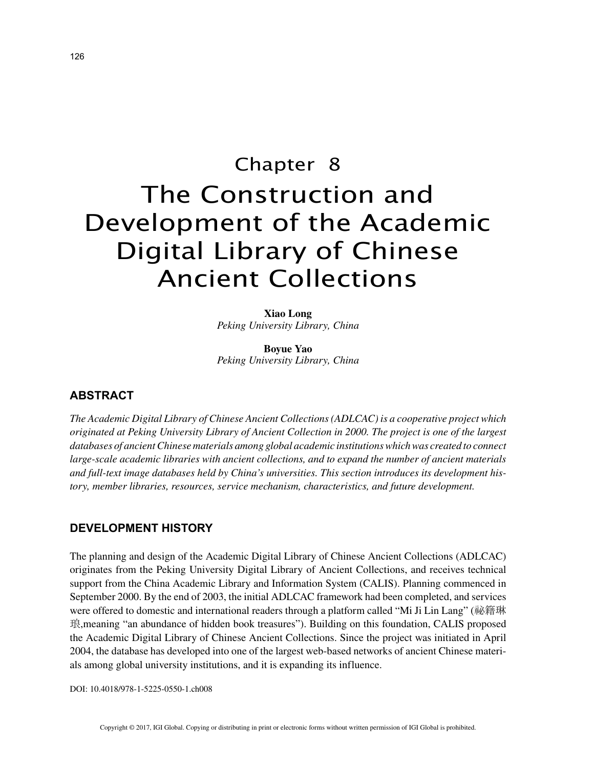# Chapter 8 The Construction and Development of the Academic Digital Library of Chinese Ancient Collections

**Xiao Long** *Peking University Library, China*

**Boyue Yao** *Peking University Library, China*

# **ABSTRACT**

*The Academic Digital Library of Chinese Ancient Collections (ADLCAC) is a cooperative project which originated at Peking University Library of Ancient Collection in 2000. The project is one of the largest databases of ancient Chinese materials among global academic institutions which was created to connect large-scale academic libraries with ancient collections, and to expand the number of ancient materials and full-text image databases held by China's universities. This section introduces its development history, member libraries, resources, service mechanism, characteristics, and future development.*

## **DEVELOPMENT HISTORY**

The planning and design of the Academic Digital Library of Chinese Ancient Collections (ADLCAC) originates from the Peking University Digital Library of Ancient Collections, and receives technical support from the China Academic Library and Information System (CALIS). Planning commenced in September 2000. By the end of 2003, the initial ADLCAC framework had been completed, and services were offered to domestic and international readers through a platform called "Mi Ji Lin Lang" (祕籍琳 琅,meaning "an abundance of hidden book treasures"). Building on this foundation, CALIS proposed the Academic Digital Library of Chinese Ancient Collections. Since the project was initiated in April 2004, the database has developed into one of the largest web-based networks of ancient Chinese materials among global university institutions, and it is expanding its influence.

DOI: 10.4018/978-1-5225-0550-1.ch008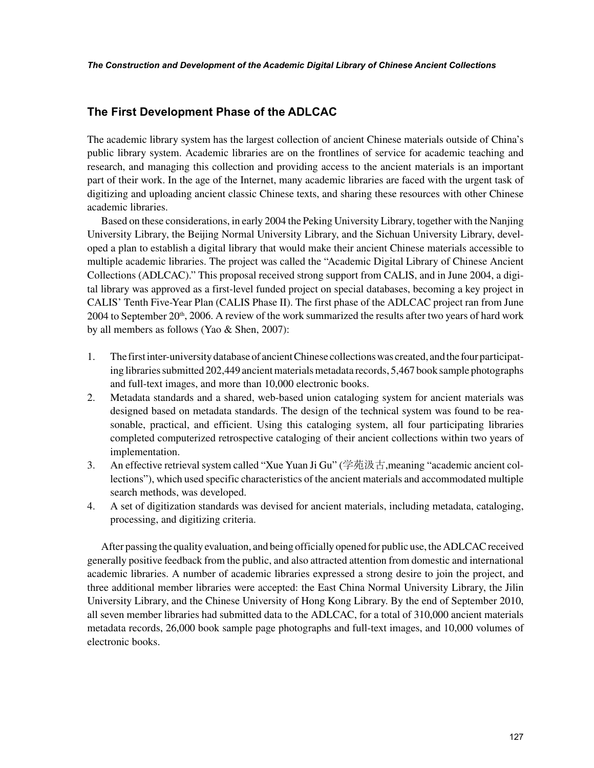# **The First Development Phase of the ADLCAC**

The academic library system has the largest collection of ancient Chinese materials outside of China's public library system. Academic libraries are on the frontlines of service for academic teaching and research, and managing this collection and providing access to the ancient materials is an important part of their work. In the age of the Internet, many academic libraries are faced with the urgent task of digitizing and uploading ancient classic Chinese texts, and sharing these resources with other Chinese academic libraries.

Based on these considerations, in early 2004 the Peking University Library, together with the Nanjing University Library, the Beijing Normal University Library, and the Sichuan University Library, developed a plan to establish a digital library that would make their ancient Chinese materials accessible to multiple academic libraries. The project was called the "Academic Digital Library of Chinese Ancient Collections (ADLCAC)." This proposal received strong support from CALIS, and in June 2004, a digital library was approved as a first-level funded project on special databases, becoming a key project in CALIS' Tenth Five-Year Plan (CALIS Phase II). The first phase of the ADLCAC project ran from June 2004 to September  $20<sup>th</sup>$ , 2006. A review of the work summarized the results after two years of hard work by all members as follows (Yao & Shen, 2007):

- 1. The first inter-university database of ancient Chinese collections was created, and the four participating libraries submitted 202,449 ancient materials metadata records, 5,467 book sample photographs and full-text images, and more than 10,000 electronic books.
- 2. Metadata standards and a shared, web-based union cataloging system for ancient materials was designed based on metadata standards. The design of the technical system was found to be reasonable, practical, and efficient. Using this cataloging system, all four participating libraries completed computerized retrospective cataloging of their ancient collections within two years of implementation.
- 3. An effective retrieval system called "Xue Yuan Ji Gu" (学苑汲古,meaning "academic ancient collections"), which used specific characteristics of the ancient materials and accommodated multiple search methods, was developed.
- 4. A set of digitization standards was devised for ancient materials, including metadata, cataloging, processing, and digitizing criteria.

After passing the quality evaluation, and being officially opened for public use, the ADLCAC received generally positive feedback from the public, and also attracted attention from domestic and international academic libraries. A number of academic libraries expressed a strong desire to join the project, and three additional member libraries were accepted: the East China Normal University Library, the Jilin University Library, and the Chinese University of Hong Kong Library. By the end of September 2010, all seven member libraries had submitted data to the ADLCAC, for a total of 310,000 ancient materials metadata records, 26,000 book sample page photographs and full-text images, and 10,000 volumes of electronic books.